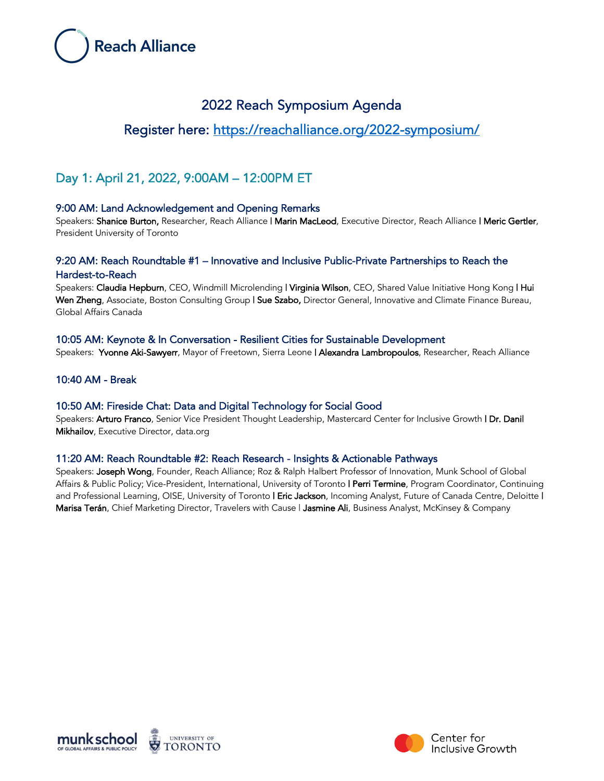

# 2022 Reach Symposium Agenda

# Register here: https://reachalliance.org/2022-symposium/

# Day 1: April 21, 2022, 9:00AM – 12:00PM ET

## 9:00 AM: Land Acknowledgement and Opening Remarks

Speakers: Shanice Burton, Researcher, Reach Alliance | Marin MacLeod, Executive Director, Reach Alliance | Meric Gertler, President University of Toronto

## 9:20 AM: Reach Roundtable #1 – Innovative and Inclusive Public-Private Partnerships to Reach the Hardest-to-Reach

Speakers: Claudia Hepburn, CEO, Windmill Microlending | Virginia Wilson, CEO, Shared Value Initiative Hong Kong | Hui Wen Zheng, Associate, Boston Consulting Group | Sue Szabo, Director General, Innovative and Climate Finance Bureau, Global Affairs Canada

## 10:05 AM: Keynote & In Conversation - Resilient Cities for Sustainable Development

Speakers: Yvonne Aki-Sawyerr, Mayor of Freetown, Sierra Leone | Alexandra Lambropoulos, Researcher, Reach Alliance

## 10:40 AM - Break

## 10:50 AM: Fireside Chat: Data and Digital Technology for Social Good

Speakers: Arturo Franco, Senior Vice President Thought Leadership, Mastercard Center for Inclusive Growth | Dr. Danil Mikhailov, Executive Director, data.org

## 11:20 AM: Reach Roundtable #2: Reach Research - Insights & Actionable Pathways

Speakers: Joseph Wong, Founder, Reach Alliance; Roz & Ralph Halbert Professor of Innovation, Munk School of Global Affairs & Public Policy; Vice-President, International, University of Toronto | Perri Termine, Program Coordinator, Continuing and Professional Learning, OISE, University of Toronto | Eric Jackson, Incoming Analyst, Future of Canada Centre, Deloitte | Marisa Terán, Chief Marketing Director, Travelers with Cause | Jasmine Ali, Business Analyst, McKinsey & Company